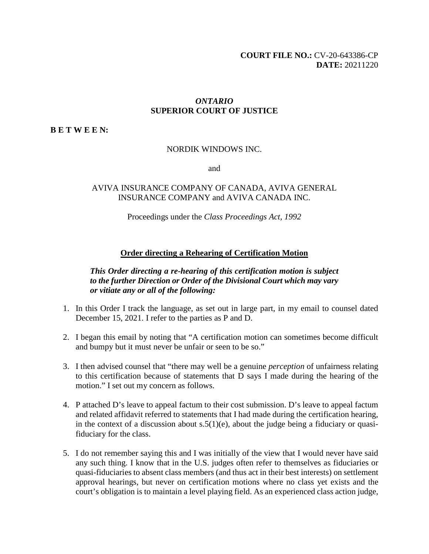### *ONTARIO*  **SUPERIOR COURT OF JUSTICE**

**B E T W E E N:** 

#### NORDIK WINDOWS INC.

and

# AVIVA INSURANCE COMPANY OF CANADA, AVIVA GENERAL INSURANCE COMPANY and AVIVA CANADA INC.

Proceedings under the *Class Proceedings Act, 1992* 

### **Order directing a Rehearing of Certification Motion**

# *This Order directing a re-hearing of this certification motion is subject to the further Direction or Order of the Divisional Court which may vary or vitiate any or all of the following:*

- 1. In this Order I track the language, as set out in large part, in my email to counsel dated December 15, 2021. I refer to the parties as P and D.
- 2. I began this email by noting that "A certification motion can sometimes become difficult and bumpy but it must never be unfair or seen to be so."
- 3. I then advised counsel that "there may well be a genuine *perception* of unfairness relating to this certification because of statements that D says I made during the hearing of the motion." I set out my concern as follows.
- 4. P attached D's leave to appeal factum to their cost submission. D's leave to appeal factum and related affidavit referred to statements that I had made during the certification hearing, in the context of a discussion about  $s.5(1)(e)$ , about the judge being a fiduciary or quasifiduciary for the class.
- 5. I do not remember saying this and I was initially of the view that I would never have said any such thing. I know that in the U.S. judges often refer to themselves as fiduciaries or quasi-fiduciaries to absent class members (and thus act in their best interests) on settlement approval hearings, but never on certification motions where no class yet exists and the court's obligation is to maintain a level playing field. As an experienced class action judge,